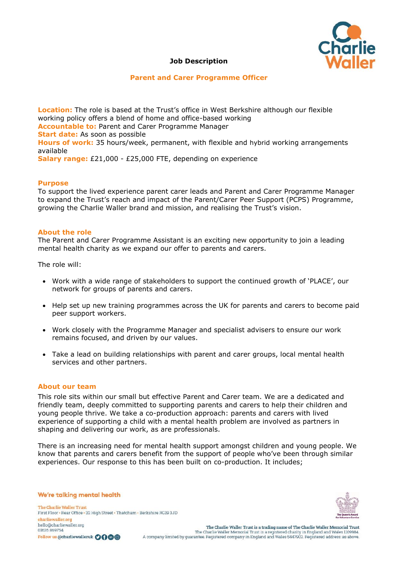

## **Job Description**

### **Parent and Carer Programme Officer**

**Location:** The role is based at the Trust's office in West Berkshire although our flexible working policy offers a blend of home and office-based working **Accountable to:** Parent and Carer Programme Manager **Start date:** As soon as possible **Hours of work:** 35 hours/week, permanent, with flexible and hybrid working arrangements available **Salary range:** £21,000 - £25,000 FTE, depending on experience

### **Purpose**

To support the lived experience parent carer leads and Parent and Carer Programme Manager to expand the Trust's reach and impact of the Parent/Carer Peer Support (PCPS) Programme, growing the Charlie Waller brand and mission, and realising the Trust's vision.

#### **About the role**

The Parent and Carer Programme Assistant is an exciting new opportunity to join a leading mental health charity as we expand our offer to parents and carers.

The role will:

- Work with a wide range of stakeholders to support the continued growth of 'PLACE', our network for groups of parents and carers.
- Help set up new training programmes across the UK for parents and carers to become paid peer support workers.
- Work closely with the Programme Manager and specialist advisers to ensure our work remains focused, and driven by our values.
- Take a lead on building relationships with parent and carer groups, local mental health services and other partners.

### **About our team**

This role sits within our small but effective Parent and Carer team. We are a dedicated and friendly team, deeply committed to supporting parents and carers to help their children and young people thrive. We take a co-production approach: parents and carers with lived experience of supporting a child with a mental health problem are involved as partners in shaping and delivering our work, as are professionals.

There is an increasing need for mental health support amongst children and young people. We know that parents and carers benefit from the support of people who've been through similar experiences. Our response to this has been built on co-production. It includes;

We're talking mental health

The Charlie Waller Trust First Floor . Rear Office . 32 High Street . Thatcham . Berkshire RG19 3JD charliewaller.org hello@charliewaller.org 01635869754 Follow us @charliewalleruk 0000

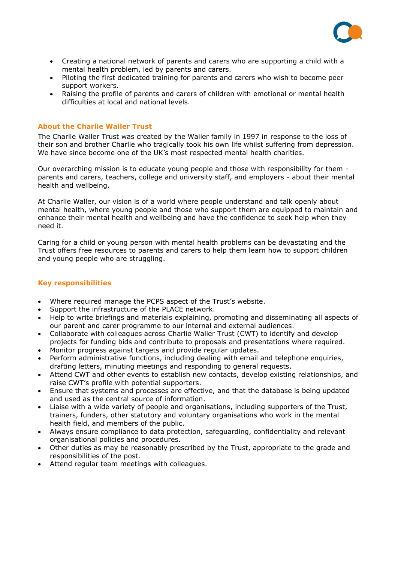

- Creating a national network of parents and carers who are supporting a child with a mental health problem, led by parents and carers.
- Piloting the first dedicated training for parents and carers who wish to become peer support workers.
- Raising the profile of parents and carers of children with emotional or mental health difficulties at local and national levels.

### **About the Charlie Waller Trust**

The Charlie Waller Trust was created by the Waller family in 1997 in response to the loss of their son and brother Charlie who tragically took his own life whilst suffering from depression. We have since become one of the UK's most respected mental health charities.

Our overarching mission is to educate young people and those with responsibility for them parents and carers, teachers, college and university staff, and employers - about their mental health and wellbeing.

At Charlie Waller, our vision is of a world where people understand and talk openly about mental health, where young people and those who support them are equipped to maintain and enhance their mental health and wellbeing and have the confidence to seek help when they need it.

Caring for a child or young person with mental health problems can be devastating and the Trust offers free resources to parents and carers to help them learn how to support children and young people who are struggling.

## **Key responsibilities**

- Where required manage the PCPS aspect of the Trust's website.
- Support the infrastructure of the PLACE network.
- Help to write briefings and materials explaining, promoting and disseminating all aspects of our parent and carer programme to our internal and external audiences.
- Collaborate with colleagues across Charlie Waller Trust (CWT) to identify and develop projects for funding bids and contribute to proposals and presentations where required.
- Monitor progress against targets and provide regular updates.
- Perform administrative functions, including dealing with email and telephone enquiries, drafting letters, minuting meetings and responding to general requests.
- Attend CWT and other events to establish new contacts, develop existing relationships, and raise CWT's profile with potential supporters.
- Ensure that systems and processes are effective, and that the database is being updated and used as the central source of information.
- Liaise with a wide variety of people and organisations, including supporters of the Trust, trainers, funders, other statutory and voluntary organisations who work in the mental health field, and members of the public.
- Always ensure compliance to data protection, safeguarding, confidentiality and relevant organisational policies and procedures.
- Other duties as may be reasonably prescribed by the Trust, appropriate to the grade and responsibilities of the post.
- Attend regular team meetings with colleagues.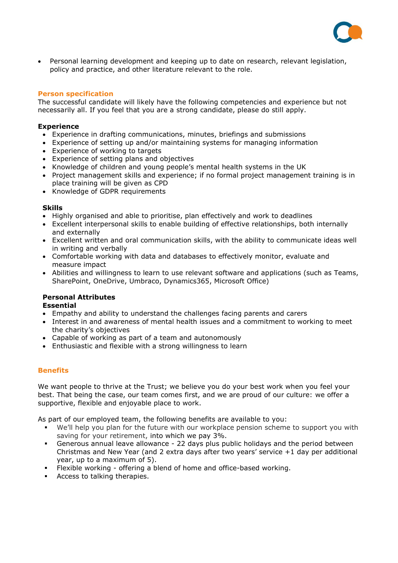

• Personal learning development and keeping up to date on research, relevant legislation, policy and practice, and other literature relevant to the role.

### **Person specification**

The successful candidate will likely have the following competencies and experience but not necessarily all. If you feel that you are a strong candidate, please do still apply.

#### **Experience**

- Experience in drafting communications, minutes, briefings and submissions
- Experience of setting up and/or maintaining systems for managing information
- Experience of working to targets
- Experience of setting plans and objectives
- Knowledge of children and young people's mental health systems in the UK
- Project management skills and experience; if no formal project management training is in place training will be given as CPD
- Knowledge of GDPR requirements

#### **Skills**

- Highly organised and able to prioritise, plan effectively and work to deadlines
- Excellent interpersonal skills to enable building of effective relationships, both internally and externally
- Excellent written and oral communication skills, with the ability to communicate ideas well in writing and verbally
- Comfortable working with data and databases to effectively monitor, evaluate and measure impact
- Abilities and willingness to learn to use relevant software and applications (such as Teams, SharePoint, OneDrive, Umbraco, Dynamics365, Microsoft Office)

## **Personal Attributes**

### **Essential**

- Empathy and ability to understand the challenges facing parents and carers
- Interest in and awareness of mental health issues and a commitment to working to meet the charity's objectives
- Capable of working as part of a team and autonomously
- Enthusiastic and flexible with a strong willingness to learn

### **Benefits**

We want people to thrive at the Trust; we believe you do your best work when you feel your best. That being the case, our team comes first, and we are proud of our culture: we offer a supportive, flexible and enjoyable place to work.

As part of our employed team, the following benefits are available to you:

- We'll help you plan for the future with our workplace pension scheme to support you with saving for your retirement, into which we pay 3%.
- **EXECT** Generous annual leave allowance 22 days plus public holidays and the period between Christmas and New Year (and 2 extra days after two years' service +1 day per additional year, up to a maximum of 5).
- Flexible working offering a blend of home and office-based working.
- Access to talking therapies.